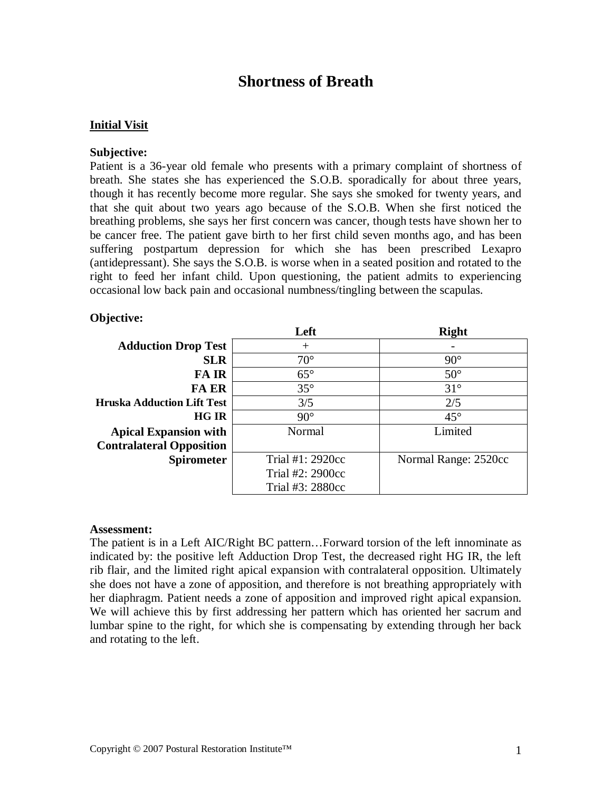# **Shortness of Breath**

#### **Initial Visit**

#### **Subjective:**

Patient is a 36-year old female who presents with a primary complaint of shortness of breath. She states she has experienced the S.O.B. sporadically for about three years, though it has recently become more regular. She says she smoked for twenty years, and that she quit about two years ago because of the S.O.B. When she first noticed the breathing problems, she says her first concern was cancer, though tests have shown her to be cancer free. The patient gave birth to her first child seven months ago, and has been suffering postpartum depression for which she has been prescribed Lexapro (antidepressant). She says the S.O.B. is worse when in a seated position and rotated to the right to feed her infant child. Upon questioning, the patient admits to experiencing occasional low back pain and occasional numbness/tingling between the scapulas.

#### **Objective:**

|                                   | Left             | <b>Right</b>         |
|-----------------------------------|------------------|----------------------|
| <b>Adduction Drop Test</b>        | $^{+}$           |                      |
| <b>SLR</b>                        | $70^{\circ}$     | $90^\circ$           |
| <b>FAIR</b>                       | $65^{\circ}$     | $50^\circ$           |
| <b>FA ER</b>                      | $35^{\circ}$     | $31^\circ$           |
| <b>Hruska Adduction Lift Test</b> | 3/5              | 2/5                  |
| <b>HG IR</b>                      | $90^\circ$       | $45^{\circ}$         |
| <b>Apical Expansion with</b>      | Normal           | Limited              |
| <b>Contralateral Opposition</b>   |                  |                      |
| <b>Spirometer</b>                 | Trial #1: 2920cc | Normal Range: 2520cc |
|                                   | Trial #2: 2900cc |                      |
|                                   | Trial #3: 2880cc |                      |

#### **Assessment:**

The patient is in a Left AIC/Right BC pattern…Forward torsion of the left innominate as indicated by: the positive left Adduction Drop Test, the decreased right HG IR, the left rib flair, and the limited right apical expansion with contralateral opposition. Ultimately she does not have a zone of apposition, and therefore is not breathing appropriately with her diaphragm. Patient needs a zone of apposition and improved right apical expansion. We will achieve this by first addressing her pattern which has oriented her sacrum and lumbar spine to the right, for which she is compensating by extending through her back and rotating to the left.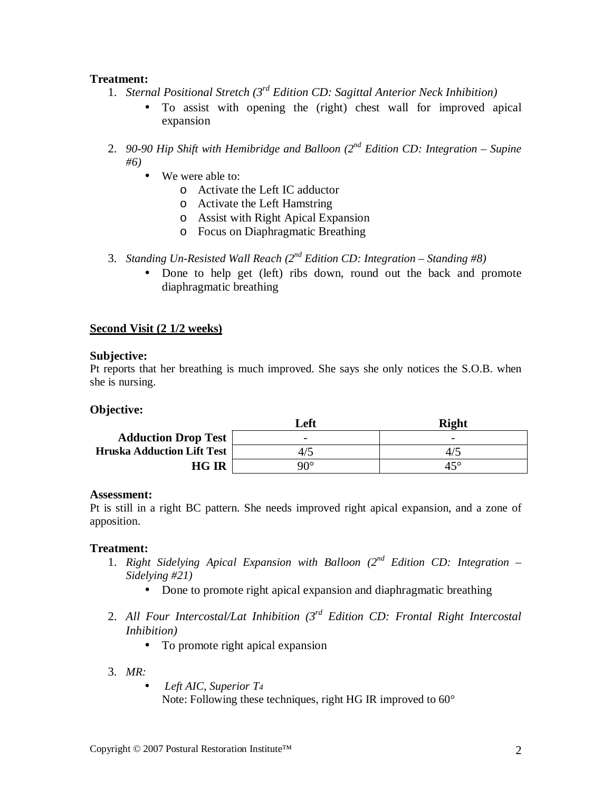## **Treatment:**

- 1. *Sternal Positional Stretch (3rd Edition CD: Sagittal Anterior Neck Inhibition)*
	- To assist with opening the (right) chest wall for improved apical expansion
- 2. *90-90 Hip Shift with Hemibridge and Balloon (2nd Edition CD: Integration – Supine #6)*
	- We were able to:
		- o Activate the Left IC adductor
		- o Activate the Left Hamstring
		- o Assist with Right Apical Expansion
		- o Focus on Diaphragmatic Breathing
- 3. *Standing Un-Resisted Wall Reach (2nd Edition CD: Integration – Standing #8)*
	- Done to help get (left) ribs down, round out the back and promote diaphragmatic breathing

## **Second Visit (2 1/2 weeks)**

## **Subjective:**

Pt reports that her breathing is much improved. She says she only notices the S.O.B. when she is nursing.

## **Objective:**

|                                   | Left                     | <b>Right</b>             |
|-----------------------------------|--------------------------|--------------------------|
| <b>Adduction Drop Test</b>        | $\overline{\phantom{a}}$ | $\overline{\phantom{0}}$ |
| <b>Hruska Adduction Lift Test</b> |                          | 4/5                      |
| <b>HG IR</b>                      | 90°                      | $45^{\circ}$             |

## **Assessment:**

Pt is still in a right BC pattern. She needs improved right apical expansion, and a zone of apposition.

## **Treatment:**

- 1. *Right Sidelying Apical Expansion with Balloon (2nd Edition CD: Integration – Sidelying #21)*
	- Done to promote right apical expansion and diaphragmatic breathing
- 2. *All Four Intercostal/Lat Inhibition (3rd Edition CD: Frontal Right Intercostal Inhibition)*
	- To promote right apical expansion
- 3. *MR:*
	- *Left AIC, Superior T4* Note: Following these techniques, right HG IR improved to 60°